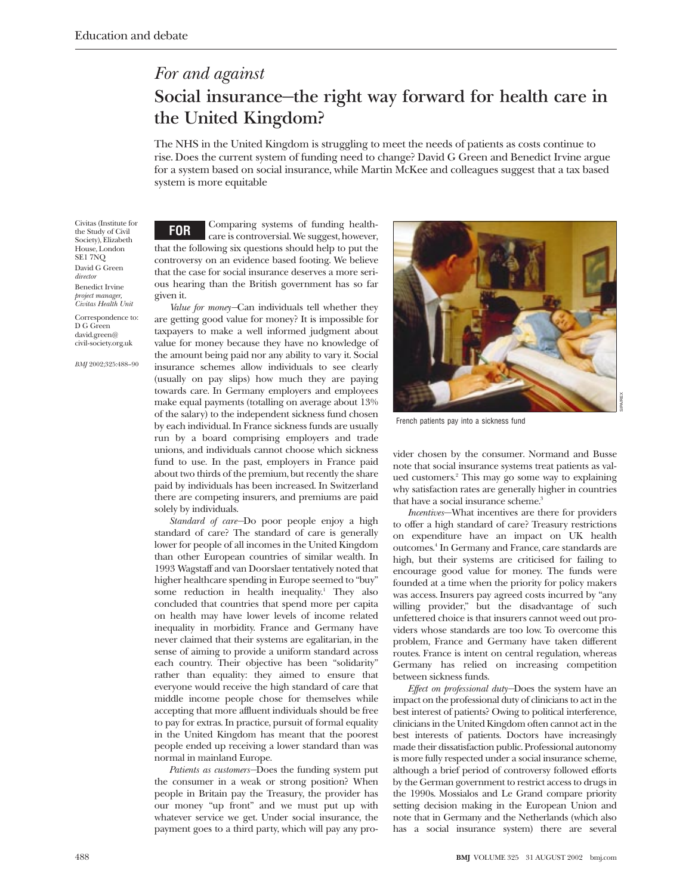# *For and against* **Social insurance—the right way forward for health care in the United Kingdom?**

The NHS in the United Kingdom is struggling to meet the needs of patients as costs continue to rise. Does the current system of funding need to change? David G Green and Benedict Irvine argue for a system based on social insurance, while Martin McKee and colleagues suggest that a tax based system is more equitable

Civitas (Institute for the Study of Civil Society), Elizabeth House, London SE1 7NQ David G Green *director* Benedict Irvine *project manager, Civitas Health Unit*

Correspondence to: D G Green david.green@ civil-society.org.uk

*BMJ* 2002;325:488–90

**FOR** Comparing systems of funding healthcare is controversial. We suggest, however, that the following six questions should help to put the controversy on an evidence based footing. We believe that the case for social insurance deserves a more serious hearing than the British government has so far given it.

*Value for money—*Can individuals tell whether they are getting good value for money? It is impossible for taxpayers to make a well informed judgment about value for money because they have no knowledge of the amount being paid nor any ability to vary it. Social insurance schemes allow individuals to see clearly (usually on pay slips) how much they are paying towards care. In Germany employers and employees make equal payments (totalling on average about 13% of the salary) to the independent sickness fund chosen by each individual. In France sickness funds are usually run by a board comprising employers and trade unions, and individuals cannot choose which sickness fund to use. In the past, employers in France paid about two thirds of the premium, but recently the share paid by individuals has been increased. In Switzerland there are competing insurers, and premiums are paid solely by individuals.

*Standard of care—*Do poor people enjoy a high standard of care? The standard of care is generally lower for people of all incomes in the United Kingdom than other European countries of similar wealth. In 1993 Wagstaff and van Doorslaer tentatively noted that higher healthcare spending in Europe seemed to "buy" some reduction in health inequality.<sup>1</sup> They also concluded that countries that spend more per capita on health may have lower levels of income related inequality in morbidity. France and Germany have never claimed that their systems are egalitarian, in the sense of aiming to provide a uniform standard across each country. Their objective has been "solidarity" rather than equality: they aimed to ensure that everyone would receive the high standard of care that middle income people chose for themselves while accepting that more affluent individuals should be free to pay for extras. In practice, pursuit of formal equality in the United Kingdom has meant that the poorest people ended up receiving a lower standard than was normal in mainland Europe.

*Patients as customers—*Does the funding system put the consumer in a weak or strong position? When people in Britain pay the Treasury, the provider has our money "up front" and we must put up with whatever service we get. Under social insurance, the payment goes to a third party, which will pay any pro-



French patients pay into a sickness fund

vider chosen by the consumer. Normand and Busse note that social insurance systems treat patients as valued customers.2 This may go some way to explaining why satisfaction rates are generally higher in countries that have a social insurance scheme.<sup>3</sup>

*Incentives*—What incentives are there for providers to offer a high standard of care? Treasury restrictions on expenditure have an impact on UK health outcomes.4 In Germany and France, care standards are high, but their systems are criticised for failing to encourage good value for money. The funds were founded at a time when the priority for policy makers was access. Insurers pay agreed costs incurred by "any willing provider," but the disadvantage of such unfettered choice is that insurers cannot weed out providers whose standards are too low. To overcome this problem, France and Germany have taken different routes. France is intent on central regulation, whereas Germany has relied on increasing competition between sickness funds.

*Effect on professional duty—*Does the system have an impact on the professional duty of clinicians to act in the best interest of patients? Owing to political interference, clinicians in the United Kingdom often cannot act in the best interests of patients. Doctors have increasingly made their dissatisfaction public. Professional autonomy is more fully respected under a social insurance scheme, although a brief period of controversy followed efforts by the German government to restrict access to drugs in the 1990s. Mossialos and Le Grand compare priority setting decision making in the European Union and note that in Germany and the Netherlands (which also has a social insurance system) there are several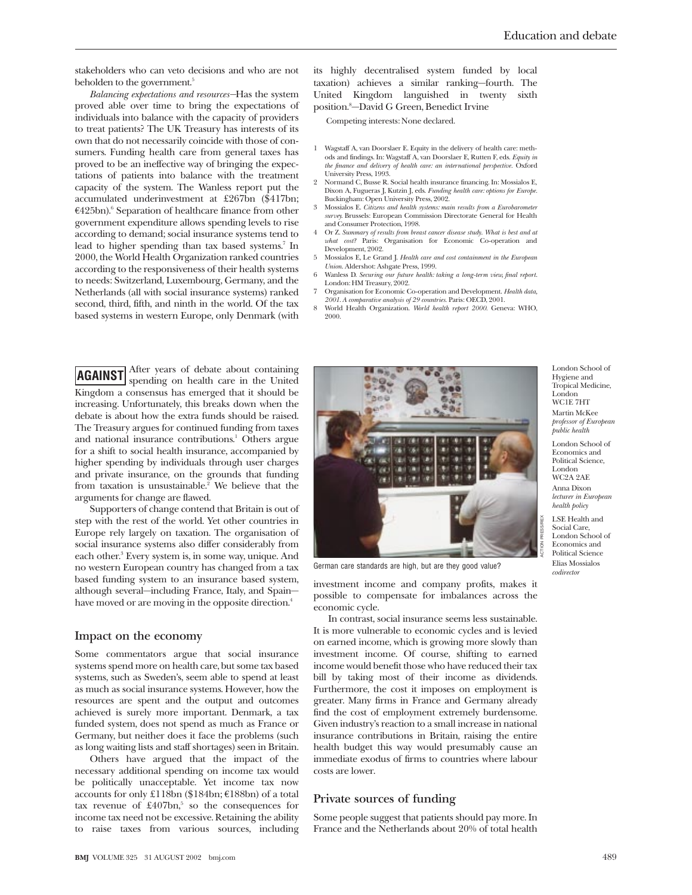stakeholders who can veto decisions and who are not beholden to the government.<sup>5</sup>

*Balancing expectations and resources—*Has the system proved able over time to bring the expectations of individuals into balance with the capacity of providers to treat patients? The UK Treasury has interests of its own that do not necessarily coincide with those of consumers. Funding health care from general taxes has proved to be an ineffective way of bringing the expectations of patients into balance with the treatment capacity of the system. The Wanless report put the accumulated underinvestment at £267bn (\$417bn;  $€425bn$ .<sup>6</sup> Separation of healthcare finance from other government expenditure allows spending levels to rise according to demand; social insurance systems tend to lead to higher spending than tax based systems.7 In 2000, the World Health Organization ranked countries according to the responsiveness of their health systems to needs: Switzerland, Luxembourg, Germany, and the Netherlands (all with social insurance systems) ranked second, third, fifth, and ninth in the world. Of the tax based systems in western Europe, only Denmark (with

its highly decentralised system funded by local taxation) achieves a similar ranking—fourth. The United Kingdom languished in twenty sixth position.8 —David G Green, Benedict Irvine

Competing interests: None declared.

- 1 Wagstaff A, van Doorslaer E. Equity in the delivery of health care: methods and findings. In: Wagstaff A, van Doorslaer E, Rutten F, eds. *Equity in the finance and delivery of health care: an international perspective.* Oxford University Press, 1993.
- 2 Normand C, Busse R. Social health insurance financing. In: Mossialos E, Dixon A, Fugueras J, Kutzin J, eds. *Funding health care: options for Europe.* Buckingham: Open University Press, 2002.
- 3 Mossialos E. *Citizens and health systems: main results from a Eurobarometer survey.* Brussels: European Commission Directorate General for Health and Consumer Protection, 1998.
- 4 Or Z. *Summary of results from breast cancer disease study*. *What is best and at what cost?* Paris: Organisation for Economic Co-operation and Development, 2002.
- 5 Mossialos E, Le Grand J. *Health care and cost containment in the European Union*. Aldershot: Ashgate Press, 1999.
- 6 Wanless D. *Securing our future health: taking a long-term view, final report*. London: HM Treasury, 2002.
- 7 Organisation for Economic Co-operation and Development. *Health data,*
- *2001*. *A comparative analysis of 29 countries.* Paris: OECD, 2001. 8 World Health Organization. *World health report 2000.* Geneva: WHO, 2000.

**AGAINST** After years of debate about containing<br>spending on health care in the United Kingdom a consensus has emerged that it should be increasing. Unfortunately, this breaks down when the debate is about how the extra funds should be raised. The Treasury argues for continued funding from taxes and national insurance contributions.<sup>1</sup> Others argue for a shift to social health insurance, accompanied by higher spending by individuals through user charges and private insurance, on the grounds that funding from taxation is unsustainable.<sup>2</sup> We believe that the arguments for change are flawed.

Supporters of change contend that Britain is out of step with the rest of the world. Yet other countries in Europe rely largely on taxation. The organisation of social insurance systems also differ considerably from each other.<sup>3</sup> Every system is, in some way, unique. And no western European country has changed from a tax based funding system to an insurance based system, although several—including France, Italy, and Spain have moved or are moving in the opposite direction.<sup>4</sup>

#### **Impact on the economy**

Some commentators argue that social insurance systems spend more on health care, but some tax based systems, such as Sweden's, seem able to spend at least as much as social insurance systems. However, how the resources are spent and the output and outcomes achieved is surely more important. Denmark, a tax funded system, does not spend as much as France or Germany, but neither does it face the problems (such as long waiting lists and staff shortages) seen in Britain.

Others have argued that the impact of the necessary additional spending on income tax would be politically unacceptable. Yet income tax now accounts for only £118bn (\$184bn; €188bn) of a total tax revenue of  $\text{\pounds}407bn$ <sup>5</sup> so the consequences for income tax need not be excessive. Retaining the ability to raise taxes from various sources, including



German care standards are high, but are they good value?

investment income and company profits, makes it possible to compensate for imbalances across the economic cycle.

In contrast, social insurance seems less sustainable. It is more vulnerable to economic cycles and is levied on earned income, which is growing more slowly than investment income. Of course, shifting to earned income would benefit those who have reduced their tax bill by taking most of their income as dividends. Furthermore, the cost it imposes on employment is greater. Many firms in France and Germany already find the cost of employment extremely burdensome. Given industry's reaction to a small increase in national insurance contributions in Britain, raising the entire health budget this way would presumably cause an immediate exodus of firms to countries where labour costs are lower.

# **Private sources of funding**

Some people suggest that patients should pay more. In France and the Netherlands about 20% of total health

London School of Hygiene and Tropical Medicine, London WC1E 7HT Martin McKee *professor of European public health*

London School of Economics and Political Science, London WC2A 2AE Anna Dixon *lecturer in European health policy*

LSE Health and Social Care, London School of Economics and Political Science Elias Mossialos *codirector*